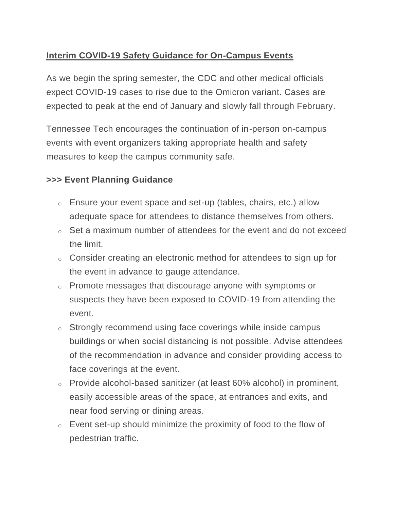## **Interim COVID-19 Safety Guidance for On-Campus Events**

As we begin the spring semester, the CDC and other medical officials expect COVID-19 cases to rise due to the Omicron variant. Cases are expected to peak at the end of January and slowly fall through February.

Tennessee Tech encourages the continuation of in-person on-campus events with event organizers taking appropriate health and safety measures to keep the campus community safe.

## **>>> Event Planning Guidance**

- o Ensure your event space and set-up (tables, chairs, etc.) allow adequate space for attendees to distance themselves from others.
- $\circ$  Set a maximum number of attendees for the event and do not exceed the limit.
- o Consider creating an electronic method for attendees to sign up for the event in advance to gauge attendance.
- o Promote messages that discourage anyone with symptoms or suspects they have been exposed to COVID-19 from attending the event.
- o Strongly recommend using face coverings while inside campus buildings or when social distancing is not possible. Advise attendees of the recommendation in advance and consider providing access to face coverings at the event.
- o Provide alcohol-based sanitizer (at least 60% alcohol) in prominent, easily accessible areas of the space, at entrances and exits, and near food serving or dining areas.
- $\circ$  Event set-up should minimize the proximity of food to the flow of pedestrian traffic.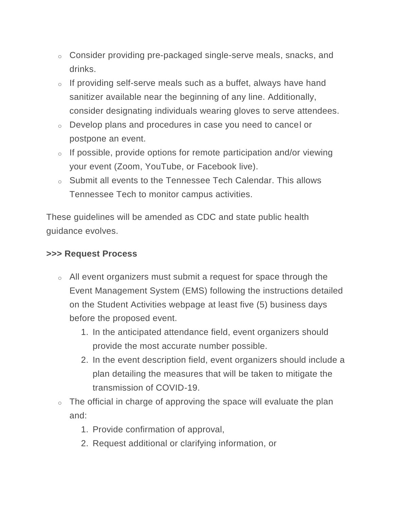- o Consider providing pre-packaged single-serve meals, snacks, and drinks.
- o If providing self-serve meals such as a buffet, always have hand sanitizer available near the beginning of any line. Additionally, consider designating individuals wearing gloves to serve attendees.
- o Develop plans and procedures in case you need to cancel or postpone an event.
- $\circ$  If possible, provide options for remote participation and/or viewing your event (Zoom, YouTube, or Facebook live).
- o Submit all events to the Tennessee Tech Calendar. This allows Tennessee Tech to monitor campus activities.

These guidelines will be amended as CDC and state public health guidance evolves.

## **>>> Request Process**

- o All event organizers must submit a request for space through the Event Management System (EMS) following the instructions detailed on the Student Activities webpage at least five (5) business days before the proposed event.
	- 1. In the anticipated attendance field, event organizers should provide the most accurate number possible.
	- 2. In the event description field, event organizers should include a plan detailing the measures that will be taken to mitigate the transmission of COVID-19.
- $\circ$  The official in charge of approving the space will evaluate the plan and:
	- 1. Provide confirmation of approval,
	- 2. Request additional or clarifying information, or